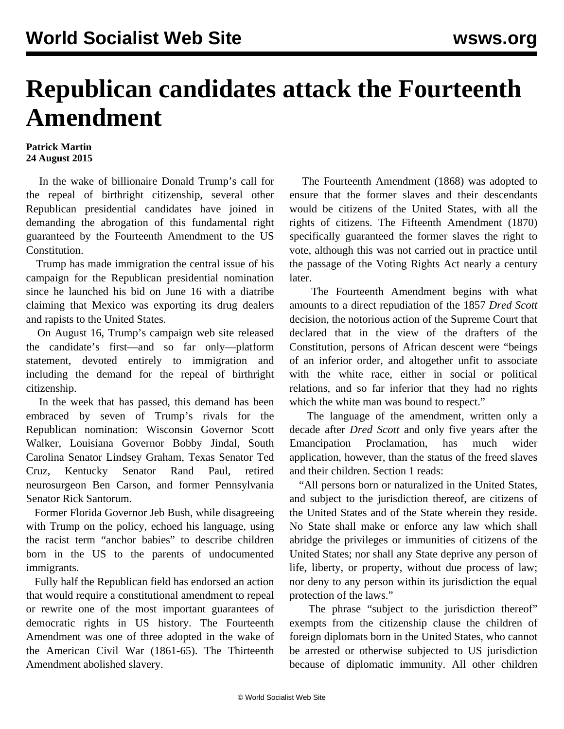## **Republican candidates attack the Fourteenth Amendment**

## **Patrick Martin 24 August 2015**

 In the wake of billionaire Donald Trump's call for the repeal of birthright citizenship, several other Republican presidential candidates have joined in demanding the abrogation of this fundamental right guaranteed by the Fourteenth Amendment to the US Constitution.

 Trump has made immigration the central issue of his campaign for the Republican presidential nomination since he launched his bid on June 16 with a diatribe claiming that Mexico was exporting its drug dealers and rapists to the United States.

 On August 16, Trump's campaign web site released the candidate's first—and so far only—platform statement, devoted entirely to immigration and including the demand for the repeal of birthright citizenship.

 In the week that has passed, this demand has been embraced by seven of Trump's rivals for the Republican nomination: Wisconsin Governor Scott Walker, Louisiana Governor Bobby Jindal, South Carolina Senator Lindsey Graham, Texas Senator Ted Cruz, Kentucky Senator Rand Paul, retired neurosurgeon Ben Carson, and former Pennsylvania Senator Rick Santorum.

 Former Florida Governor Jeb Bush, while disagreeing with Trump on the policy, echoed his language, using the racist term "anchor babies" to describe children born in the US to the parents of undocumented immigrants.

 Fully half the Republican field has endorsed an action that would require a constitutional amendment to repeal or rewrite one of the most important guarantees of democratic rights in US history. The Fourteenth Amendment was one of three adopted in the wake of the American Civil War (1861-65). The Thirteenth Amendment abolished slavery.

 The Fourteenth Amendment (1868) was adopted to ensure that the former slaves and their descendants would be citizens of the United States, with all the rights of citizens. The Fifteenth Amendment (1870) specifically guaranteed the former slaves the right to vote, although this was not carried out in practice until the passage of the Voting Rights Act nearly a century later.

 The Fourteenth Amendment begins with what amounts to a direct repudiation of the 1857 *Dred Scott* decision, the notorious action of the Supreme Court that declared that in the view of the drafters of the Constitution, persons of African descent were "beings of an inferior order, and altogether unfit to associate with the white race, either in social or political relations, and so far inferior that they had no rights which the white man was bound to respect."

 The language of the amendment, written only a decade after *Dred Scott* and only five years after the Emancipation Proclamation, has much wider application, however, than the status of the freed slaves and their children. Section 1 reads:

 "All persons born or naturalized in the United States, and subject to the jurisdiction thereof, are citizens of the United States and of the State wherein they reside. No State shall make or enforce any law which shall abridge the privileges or immunities of citizens of the United States; nor shall any State deprive any person of life, liberty, or property, without due process of law; nor deny to any person within its jurisdiction the equal protection of the laws."

The phrase "subject to the jurisdiction thereof" exempts from the citizenship clause the children of foreign diplomats born in the United States, who cannot be arrested or otherwise subjected to US jurisdiction because of diplomatic immunity. All other children